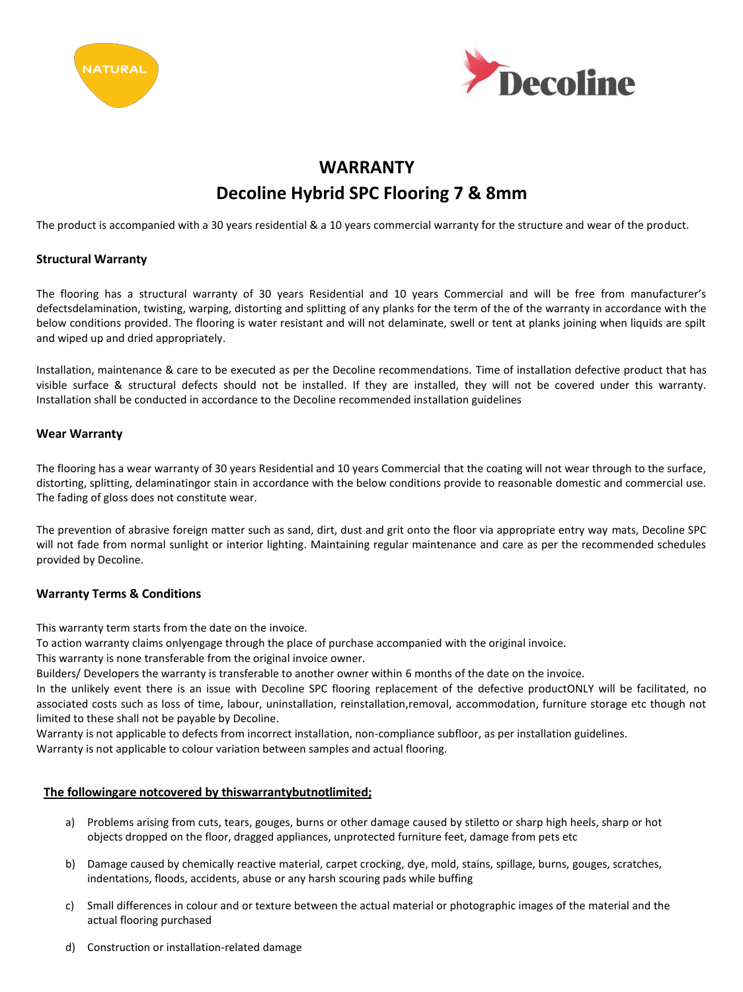



# **WARRANTY Decoline Hybrid SPC Flooring 7 & 8mm**

The product is accompanied with a 30 years residential & a 10 years commercial warranty for the structure and wear of the product.

## **Structural Warranty**

The flooring has a structural warranty of 30 years Residential and 10 years Commercial and will be free from manufacturer's defectsdelamination, twisting, warping, distorting and splitting of any planks for the term of the of the warranty in accordance with the below conditions provided. The flooring is water resistant and will not delaminate, swell or tent at planks joining when liquids are spilt and wiped up and dried appropriately.

Installation, maintenance & care to be executed as per the Decoline recommendations. Time of installation defective product that has visible surface & structural defects should not be installed. If they are installed, they will not be covered under this warranty. Installation shall be conducted in accordance to the Decoline recommended installation guidelines

### **Wear Warranty**

The flooring has a wear warranty of 30 years Residential and 10 years Commercial that the coating will not wear through to the surface, distorting, splitting, delaminatingor stain in accordance with the below conditions provide to reasonable domestic and commercial use. The fading of gloss does not constitute wear.

The prevention of abrasive foreign matter such as sand, dirt, dust and grit onto the floor via appropriate entry way mats, Decoline SPC will not fade from normal sunlight or interior lighting. Maintaining regular maintenance and care as per the recommended schedules provided by Decoline.

### **Warranty Terms & Conditions**

This warranty term starts from the date on the invoice.

To action warranty claims onlyengage through the place of purchase accompanied with the original invoice.

This warranty is none transferable from the original invoice owner.

Builders/ Developers the warranty is transferable to another owner within 6 months of the date on the invoice.

In the unlikely event there is an issue with Decoline SPC flooring replacement of the defective productONLY will be facilitated, no associated costs such as loss of time, labour, uninstallation, reinstallation,removal, accommodation, furniture storage etc though not limited to these shall not be payable by Decoline.

Warranty is not applicable to defects from incorrect installation, non-compliance subfloor, as per installation guidelines.

Warranty is not applicable to colour variation between samples and actual flooring.

### **The followingare notcovered by thiswarrantybutnotlimited;**

- a) Problems arising from cuts, tears, gouges, burns or other damage caused by stiletto or sharp high heels, sharp or hot objects dropped on the floor, dragged appliances, unprotected furniture feet, damage from pets etc
- b) Damage caused by chemically reactive material, carpet crocking, dye, mold, stains, spillage, burns, gouges, scratches, indentations, floods, accidents, abuse or any harsh scouring pads while buffing
- c) Small differences in colour and or texture between the actual material or photographic images of the material and the actual flooring purchased
- d) Construction or installation-related damage